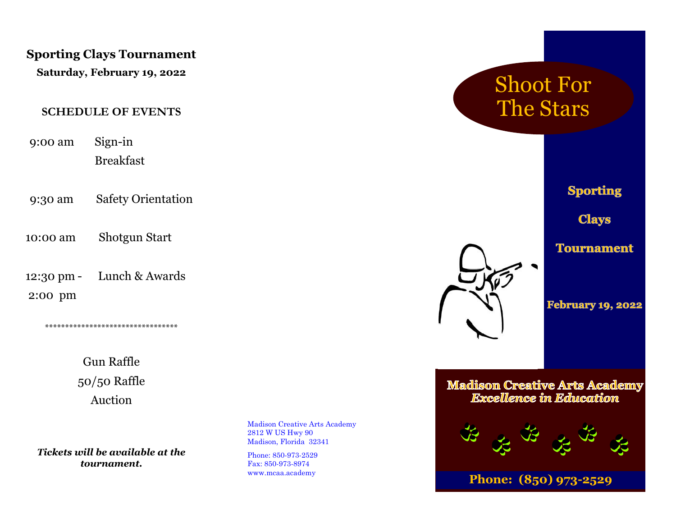# **Sporting Clays Tournament**

**Saturday, February 19, 2022**

 9:00 am Sign-in Breakfast

- 9:30 am Safety Orientation
- 10:00 am Shotgun Start

12:30 pm - Lunch & Awards 2:00 pm

\*\*\*\*\*\*\*\*\*\*\*\*\*\*\*\*\*\*\*\*\*\*\*\*\*\*\*\*\*\*\*\*\*

Gun Raffle 50/50 Raffle Auction

*Tickets will be available at the tournament.*

Madison Creative Arts Academy 2812 W US Hwy 90 Madison, Florida 32341

Phone: 850-973-2529 Fax: 850-973-8974 www.mcaa.academy